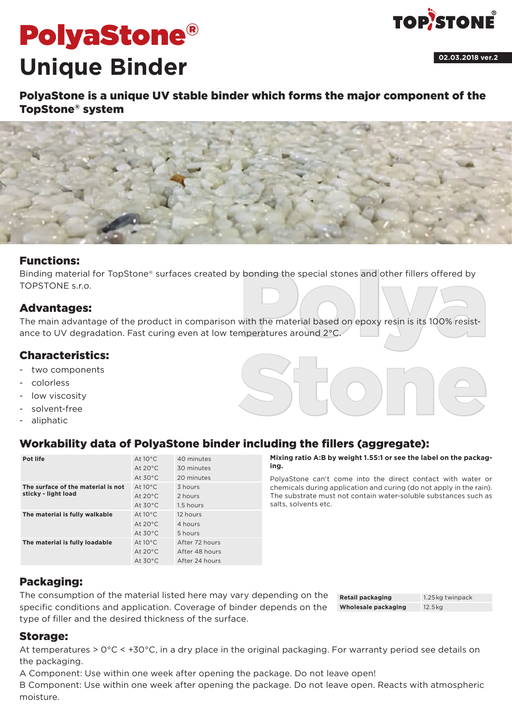# PolyaStone® **Unique Binder**



**02.03.2018 ver.2**

PolyaStone is a unique UV stable binder which forms the major component of the TopStone® system



## Functions:

Binding material for TopStone® surfaces created by bonding the special stones and other fillers offered by TOPSTONE<sub>sro.</sub>

## Advantages:

bonding the special stones and other fillers offered by<br>with the material based on epoxy resin is its 100% resist-<br>mperatures around 2°C. The main advantage of the product in comparison with the material based on epoxy resin is its 100% resistance to UV degradation. Fast curing even at low temperatures around 2°C.

## Characteristics:

- two components
- colorless
- low viscosity
- solvent-free
- aliphatic

# Workability data of PolyaStone binder including the fillers (aggregate):

| Pot life                                                  | At $10^{\circ}$ C  | 40 minutes     |
|-----------------------------------------------------------|--------------------|----------------|
|                                                           | At $20^{\circ}$ C. | 30 minutes     |
|                                                           | At $30^{\circ}$ C  | 20 minutes     |
| The surface of the material is not<br>sticky - light load | At $10^{\circ}$ C  | 3 hours        |
|                                                           | At $20^{\circ}$ C. | 2 hours        |
|                                                           | At $30^{\circ}$ C  | 1.5 hours      |
| The material is fully walkable                            | At $10^{\circ}$ C  | 12 hours       |
|                                                           | At $20^{\circ}$ C. | 4 hours        |
|                                                           | At $30^{\circ}$ C  | 5 hours        |
| The material is fully loadable                            | At $10^{\circ}$ C  | After 72 hours |
|                                                           | At $20^{\circ}$ C. | After 48 hours |
|                                                           | At $30^{\circ}$ C  | After 24 hours |

**Mixing ratio A:B by weight 1.55:1 or see the label on the packaging.**

Stone

PolyaStone can't come into the direct contact with water or chemicals during application and curing (do not apply in the rain). The substrate must not contain water-soluble substances such as salts, solvents etc.

## Packaging:

The consumption of the material listed here may vary depending on the specific conditions and application. Coverage of binder depends on the type of filler and the desired thickness of the surface.

#### **Retail packaging** 1.25kg twinpack **Wholesale packaging** 12.5kg

## Storage:

At temperatures > 0°C < +30°C, in a dry place in the original packaging. For warranty period see details on the packaging.

A Component: Use within one week after opening the package. Do not leave open!

B Component: Use within one week after opening the package. Do not leave open. Reacts with atmospheric moisture.